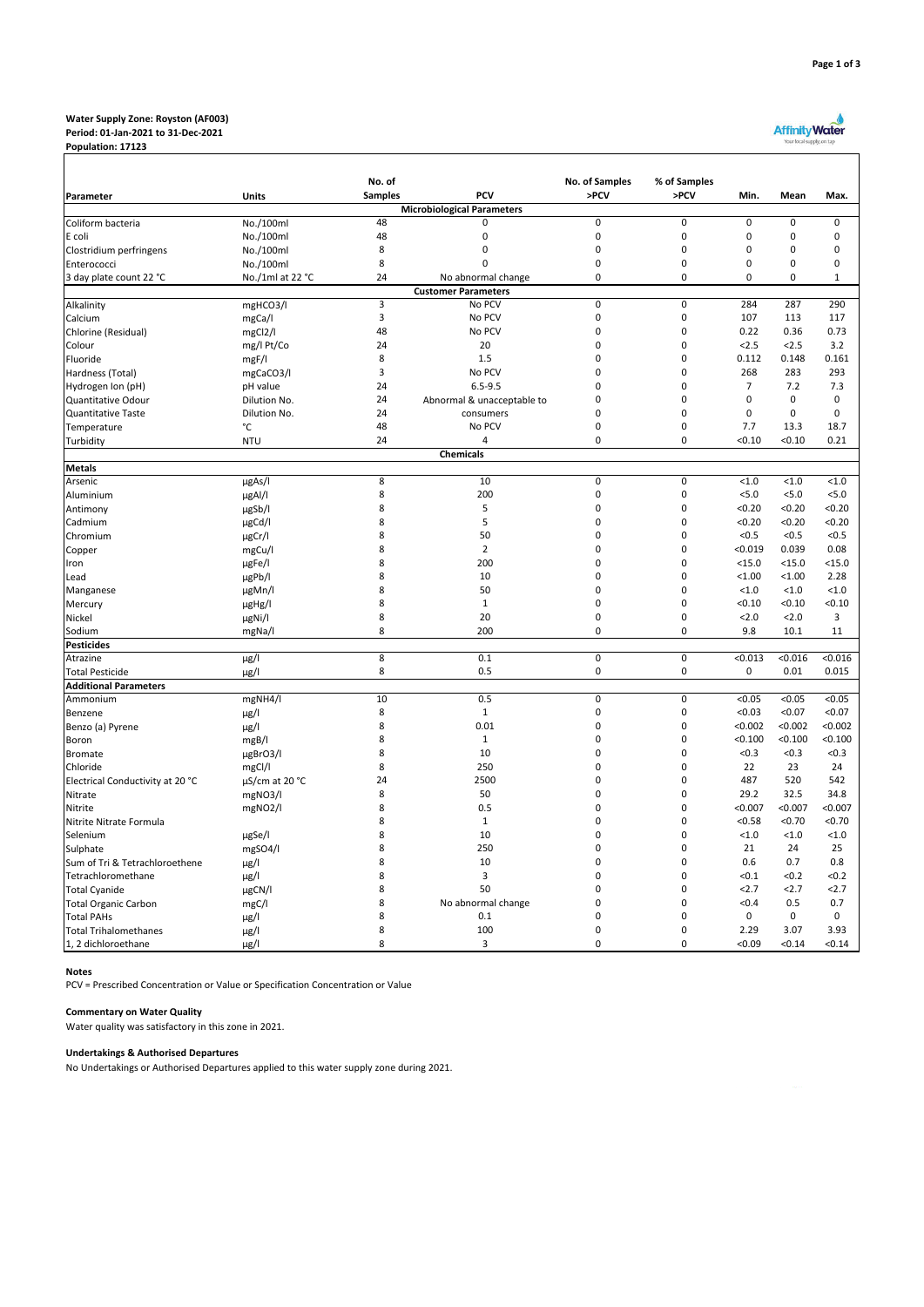#### **Water Supply Zone: Royston (AF003) Period: 01-Jan-2021 to 31-Dec-2021**

**Population: 17123**

| ર<br>Page 1 of |
|----------------|
|----------------|

|                                  |                     | No. of         |                                          | No. of Samples | % of Samples   |                |             |              |
|----------------------------------|---------------------|----------------|------------------------------------------|----------------|----------------|----------------|-------------|--------------|
| Parameter                        | Units               | <b>Samples</b> | PCV<br><b>Microbiological Parameters</b> | >PCV           | >PCV           | Min.           | Mean        | Max.         |
| Coliform bacteria                | No./100ml           | 48             | $\Omega$                                 | $\pmb{0}$      | 0              | 0              | 0           | $\mathsf 0$  |
| E coli                           | No./100ml           | 48             | 0                                        | $\pmb{0}$      | 0              | 0              | 0           | $\mathbf 0$  |
| Clostridium perfringens          | No./100ml           | 8              | $\mathbf 0$                              | $\pmb{0}$      | 0              | $\mathbf 0$    | $\mathbf 0$ | $\mathbf 0$  |
| Enterococci                      | No./100ml           | 8              | 0                                        | $\mathbf 0$    | 0              | 0              | $\mathbf 0$ | $\mathbf 0$  |
| 3 day plate count 22 °C          | No./1ml at 22 °C    | 24             | No abnormal change                       | $\pmb{0}$      | 0              | 0              | 0           | $\mathbf{1}$ |
|                                  |                     |                | <b>Customer Parameters</b>               |                |                |                |             |              |
| Alkalinity                       | mgHCO3/I            | 3              | No PCV                                   | $\overline{0}$ | $\overline{0}$ | 284            | 287         | 290          |
| Calcium                          | mgCa/l              | 3              | No PCV                                   | $\pmb{0}$      | 0              | 107            | 113         | 117          |
| Chlorine (Residual)              | mgCl2/l             | 48             | No PCV                                   | $\pmb{0}$      | 0              | 0.22           | 0.36        | 0.73         |
| Colour                           | mg/l Pt/Co          | 24             | 20                                       | 0              | 0              | 2.5            | < 2.5       | 3.2          |
| Fluoride                         | mgF/I               | 8              | 1.5                                      | 0              | 0              | 0.112          | 0.148       | 0.161        |
| Hardness (Total)                 | mgCaCO3/I           | 3              | No PCV                                   | $\Omega$       | $\mathbf 0$    | 268            | 283         | 293          |
| Hydrogen Ion (pH)                | pH value            | 24             | $6.5 - 9.5$                              | 0              | 0              | $\overline{7}$ | 7.2         | 7.3          |
| Quantitative Odour               | Dilution No.        | 24             | Abnormal & unacceptable to               | 0              | 0              | 0              | $\mathbf 0$ | $\mathsf 0$  |
| <b>Quantitative Taste</b>        | Dilution No.        | 24             | consumers                                | 0              | 0              | $\mathbf 0$    | 0           | $\mathbf 0$  |
| Temperature                      | °C                  | 48             | No PCV                                   | 0              | 0              | 7.7            | 13.3        | 18.7         |
| Turbidity                        | <b>NTU</b>          | 24             | 4                                        | $\mathbf 0$    | $\mathbf 0$    | < 0.10         | < 0.10      | 0.21         |
|                                  |                     |                | <b>Chemicals</b>                         |                |                |                |             |              |
| <b>Metals</b>                    |                     |                |                                          |                |                |                |             |              |
| Arsenic                          | $\mu$ gAs/l         | 8              | 10                                       | 0              | 0              | < 1.0          | < 1.0       | < 1.0        |
| Aluminium                        | µgAl/l              | 8              | 200                                      | $\pmb{0}$      | 0              | 5.0            | < 5.0       | < 5.0        |
| Antimony                         | µgSb/l              | 8              | 5                                        | $\pmb{0}$      | 0              | < 0.20         | < 0.20      | < 0.20       |
| Cadmium                          | µgCd/l              | 8              | 5                                        | 0              | $\mathbf 0$    | < 0.20         | < 0.20      | < 0.20       |
| Chromium                         | µgCr/l              | 8              | 50                                       | 0              | 0              | < 0.5          | < 0.5       | < 0.5        |
| Copper                           | mgCu/l              | 8              | $\overline{2}$                           | $\Omega$       | $\Omega$       | < 0.019        | 0.039       | 0.08         |
| Iron                             | µgFe/l              | 8              | 200                                      | $\mathbf 0$    | 0              | $15.0$         | $<$ 15.0    | $15.0$       |
| Lead                             | µgPb/l              | 8              | 10                                       | $\mathbf 0$    | 0              | < 1.00         | < 1.00      | 2.28         |
| Manganese                        | µgMn/l              | 8              | 50                                       | 0              | 0              | < 1.0          | < 1.0       | < 1.0        |
| Mercury                          | µgHg/l              | 8              | $\mathbf{1}$                             | 0              | 0              | < 0.10         | < 0.10      | < 0.10       |
| Nickel                           | µgNi/l              | 8              | 20                                       | $\pmb{0}$      | 0              | 2.0            | 2.0         | 3            |
| Sodium                           | mgNa/l              | 8              | 200                                      | $\mathbf 0$    | 0              | 9.8            | 10.1        | 11           |
| <b>Pesticides</b>                |                     |                |                                          |                |                |                |             |              |
| Atrazine                         | $\mu$ g/l           | 8              | 0.1                                      | $\mathbf 0$    | $\mathbf 0$    | < 0.013        | < 0.016     | < 0.016      |
| <b>Total Pesticide</b>           | $\mu$ g/l           | 8              | 0.5                                      | $\pmb{0}$      | 0              | 0              | 0.01        | 0.015        |
| <b>Additional Parameters</b>     |                     |                |                                          |                |                |                |             |              |
| Ammonium                         | mgNH4/l             | 10             | 0.5                                      | $\pmb{0}$      | $\pmb{0}$      | < 0.05         | < 0.05      | < 0.05       |
| Benzene                          | $\mu$ g/l           | 8              | $\mathbf{1}$                             | $\pmb{0}$      | 0              | < 0.03         | < 0.07      | < 0.07       |
| Benzo (a) Pyrene                 | $\mu$ g/l           | 8              | 0.01                                     | 0              | 0              | < 0.002        | < 0.002     | < 0.002      |
| Boron                            | mgB/l               | 8              | $\mathbf{1}$                             | $\Omega$       | $\mathbf 0$    | < 0.100        | < 0.100     | < 0.100      |
| <b>Bromate</b>                   | µgBrO3/I            | 8              | 10                                       | $\mathbf 0$    | 0              | < 0.3          | < 0.3       | < 0.3        |
| Chloride                         | mgCl/l              | 8              | 250                                      | $\mathbf 0$    | 0              | 22             | 23          | 24           |
| Electrical Conductivity at 20 °C | $\mu$ S/cm at 20 °C | 24             | 2500                                     | 0              | 0              | 487            | 520         | 542          |
| Nitrate                          | mgNO3/l             | 8              | 50                                       | 0              | 0              | 29.2           | 32.5        | 34.8         |
| Nitrite                          | mgNO2/l             | 8              | 0.5                                      | 0              | $\mathbf 0$    | < 0.007        | < 0.007     | < 0.007      |
| Nitrite Nitrate Formula          |                     | 8              | $\mathbf{1}$                             | 0              | $\mathbf 0$    | < 0.58         | < 0.70      | < 0.70       |
| Selenium                         | µgSe/l              | 8              | 10                                       | $\Omega$       | $\Omega$       | < 1.0          | < 1.0       | < 1.0        |
| Sulphate                         | mgSO4/l             | 8              | 250                                      | 0              | 0              | 21             | 24          | 25           |
| Sum of Tri & Tetrachloroethene   | $\mu$ g/l           | 8              | 10                                       | 0              | $\mathbf 0$    | 0.6            | 0.7         | 0.8          |
| Tetrachloromethane               | $\mu$ g/l           | 8              | 3                                        | 0              | $\mathbf 0$    | < 0.1          | < 0.2       | < 0.2        |
| <b>Total Cyanide</b>             | µgCN/I              | 8              | 50                                       | 0              | 0              | 2.7            | 2.7         | 2.7          |
| <b>Total Organic Carbon</b>      | mgC/I               | 8              | No abnormal change                       | 0              | 0              | < 0.4          | 0.5         | 0.7          |
| <b>Total PAHs</b>                | $\mu$ g/l           | 8              | 0.1                                      | 0              | 0              | 0              | 0           | 0            |
| <b>Total Trihalomethanes</b>     | $\mu$ g/l           | 8              | 100                                      | 0              | 0              | 2.29           | 3.07        | 3.93         |
| 1, 2 dichloroethane              | µg/l                | 8              | 3                                        | $\mathbf 0$    | 0              | < 0.09         | < 0.14      | < 0.14       |

### **Notes**

PCV = Prescribed Concentration or Value or Specification Concentration or Value

# **Commentary on Water Quality**

Water quality was satisfactory in this zone in 2021.

## **Undertakings & Authorised Departures**

No Undertakings or Authorised Departures applied to this water supply zone during 2021.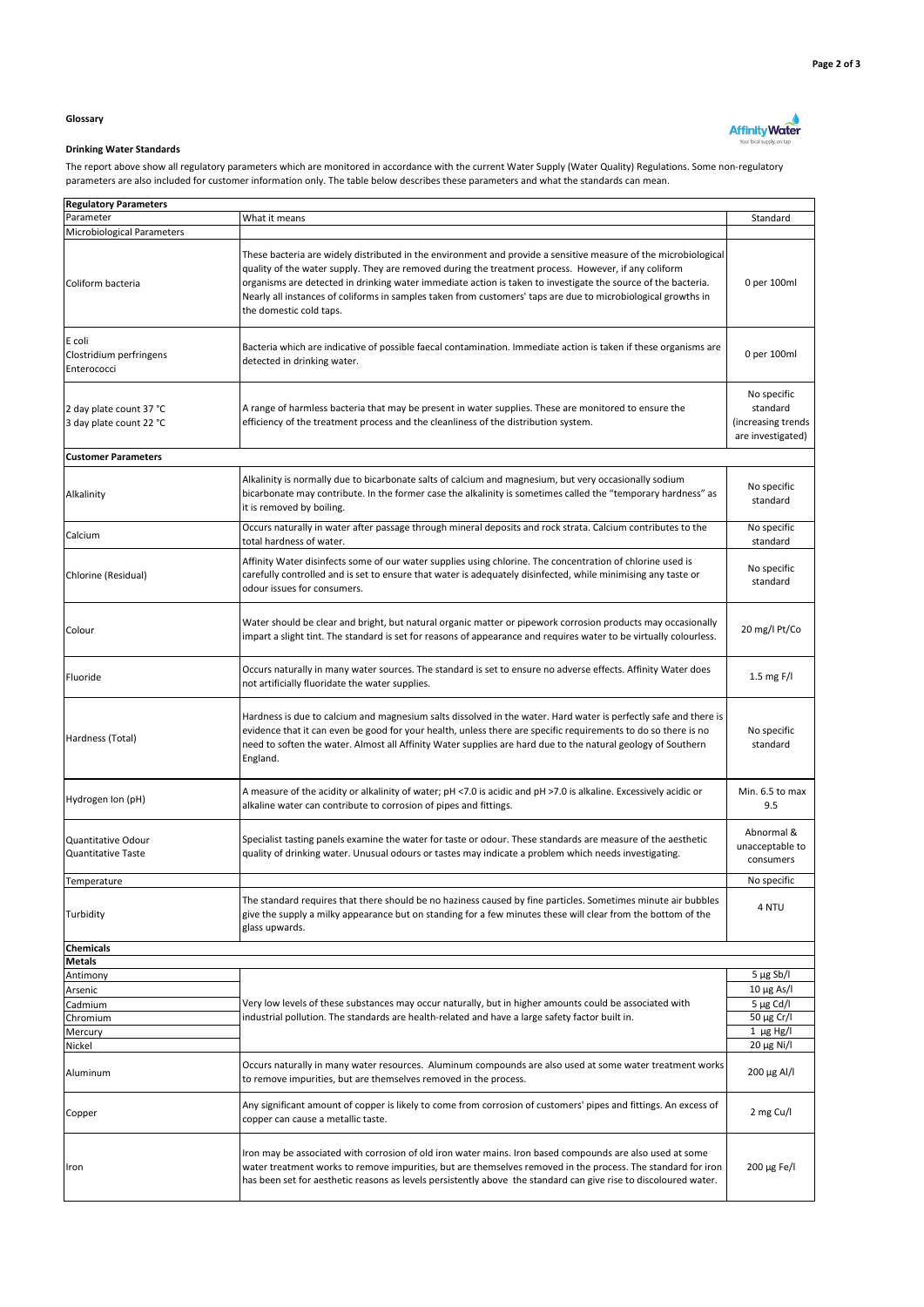**Affinity Water** 

## **Glossary**

# **Drinking Water Standards**

The report above show all regulatory parameters which are monitored in accordance with the current Water Supply (Water Quality) Regulations. Some non-regulatory parameters are also included for customer information only. The table below describes these parameters and what the standards can mean.

| <b>Regulatory Parameters</b>                       |                                                                                                                                                                                                                                                                                                                                                                                                                                                                                      |                                                                    |  |  |  |  |  |
|----------------------------------------------------|--------------------------------------------------------------------------------------------------------------------------------------------------------------------------------------------------------------------------------------------------------------------------------------------------------------------------------------------------------------------------------------------------------------------------------------------------------------------------------------|--------------------------------------------------------------------|--|--|--|--|--|
| Parameter                                          | What it means                                                                                                                                                                                                                                                                                                                                                                                                                                                                        | Standard                                                           |  |  |  |  |  |
| Microbiological Parameters                         |                                                                                                                                                                                                                                                                                                                                                                                                                                                                                      |                                                                    |  |  |  |  |  |
| Coliform bacteria                                  | These bacteria are widely distributed in the environment and provide a sensitive measure of the microbiological<br>quality of the water supply. They are removed during the treatment process. However, if any coliform<br>organisms are detected in drinking water immediate action is taken to investigate the source of the bacteria.<br>Nearly all instances of coliforms in samples taken from customers' taps are due to microbiological growths in<br>the domestic cold taps. | 0 per 100ml                                                        |  |  |  |  |  |
| E coli<br>Clostridium perfringens<br>Enterococci   | Bacteria which are indicative of possible faecal contamination. Immediate action is taken if these organisms are<br>detected in drinking water.                                                                                                                                                                                                                                                                                                                                      | 0 per 100ml                                                        |  |  |  |  |  |
| 2 day plate count 37 °C<br>3 day plate count 22 °C | A range of harmless bacteria that may be present in water supplies. These are monitored to ensure the<br>efficiency of the treatment process and the cleanliness of the distribution system.                                                                                                                                                                                                                                                                                         | No specific<br>standard<br>(increasing trends<br>are investigated) |  |  |  |  |  |
| <b>Customer Parameters</b>                         |                                                                                                                                                                                                                                                                                                                                                                                                                                                                                      |                                                                    |  |  |  |  |  |
| Alkalinity                                         | Alkalinity is normally due to bicarbonate salts of calcium and magnesium, but very occasionally sodium<br>bicarbonate may contribute. In the former case the alkalinity is sometimes called the "temporary hardness" as<br>it is removed by boiling.                                                                                                                                                                                                                                 | No specific<br>standard                                            |  |  |  |  |  |
| Calcium                                            | Occurs naturally in water after passage through mineral deposits and rock strata. Calcium contributes to the<br>total hardness of water.                                                                                                                                                                                                                                                                                                                                             | No specific<br>standard                                            |  |  |  |  |  |
| Chlorine (Residual)                                | Affinity Water disinfects some of our water supplies using chlorine. The concentration of chlorine used is<br>carefully controlled and is set to ensure that water is adequately disinfected, while minimising any taste or<br>odour issues for consumers.                                                                                                                                                                                                                           | No specific<br>standard                                            |  |  |  |  |  |
| Colour                                             | Water should be clear and bright, but natural organic matter or pipework corrosion products may occasionally<br>impart a slight tint. The standard is set for reasons of appearance and requires water to be virtually colourless.                                                                                                                                                                                                                                                   | 20 mg/l Pt/Co                                                      |  |  |  |  |  |
| Fluoride                                           | Occurs naturally in many water sources. The standard is set to ensure no adverse effects. Affinity Water does<br>not artificially fluoridate the water supplies.                                                                                                                                                                                                                                                                                                                     | 1.5 mg $F/I$                                                       |  |  |  |  |  |
| Hardness (Total)                                   | Hardness is due to calcium and magnesium salts dissolved in the water. Hard water is perfectly safe and there is<br>evidence that it can even be good for your health, unless there are specific requirements to do so there is no<br>need to soften the water. Almost all Affinity Water supplies are hard due to the natural geology of Southern<br>England.                                                                                                                       | No specific<br>standard                                            |  |  |  |  |  |
| Hydrogen Ion (pH)                                  | A measure of the acidity or alkalinity of water; pH <7.0 is acidic and pH >7.0 is alkaline. Excessively acidic or<br>alkaline water can contribute to corrosion of pipes and fittings.                                                                                                                                                                                                                                                                                               | Min. 6.5 to max<br>9.5                                             |  |  |  |  |  |
| Quantitative Odour<br>Quantitative Taste           | Specialist tasting panels examine the water for taste or odour. These standards are measure of the aesthetic<br>quality of drinking water. Unusual odours or tastes may indicate a problem which needs investigating.                                                                                                                                                                                                                                                                | Abnormal &<br>unacceptable to<br>consumers                         |  |  |  |  |  |
| Temperature                                        |                                                                                                                                                                                                                                                                                                                                                                                                                                                                                      | No specific                                                        |  |  |  |  |  |
| Turbidity                                          | The standard requires that there should be no haziness caused by fine particles. Sometimes minute air bubbles<br>give the supply a milky appearance but on standing for a few minutes these will clear from the bottom of the<br>glass upwards.                                                                                                                                                                                                                                      | 4 NTU                                                              |  |  |  |  |  |
| <b>Chemicals</b>                                   |                                                                                                                                                                                                                                                                                                                                                                                                                                                                                      |                                                                    |  |  |  |  |  |
| <b>Metals</b>                                      |                                                                                                                                                                                                                                                                                                                                                                                                                                                                                      |                                                                    |  |  |  |  |  |
| Antimony                                           |                                                                                                                                                                                                                                                                                                                                                                                                                                                                                      | $5 \mu g Sb/l$                                                     |  |  |  |  |  |
| Arsenic                                            |                                                                                                                                                                                                                                                                                                                                                                                                                                                                                      | $10 \mu g$ As/I                                                    |  |  |  |  |  |
| Cadmium                                            | Very low levels of these substances may occur naturally, but in higher amounts could be associated with                                                                                                                                                                                                                                                                                                                                                                              | $5 \mu g$ Cd/I                                                     |  |  |  |  |  |
| Chromium                                           | industrial pollution. The standards are health-related and have a large safety factor built in.                                                                                                                                                                                                                                                                                                                                                                                      | 50 μg Cr/l                                                         |  |  |  |  |  |
| Mercury                                            |                                                                                                                                                                                                                                                                                                                                                                                                                                                                                      | $1 \mu g Hg/I$                                                     |  |  |  |  |  |
| Nickel<br>Aluminum                                 | Occurs naturally in many water resources. Aluminum compounds are also used at some water treatment works<br>to remove impurities, but are themselves removed in the process.                                                                                                                                                                                                                                                                                                         | 20 μg Ni/l<br>200 μg Al/l                                          |  |  |  |  |  |
| Copper                                             | Any significant amount of copper is likely to come from corrosion of customers' pipes and fittings. An excess of<br>copper can cause a metallic taste.                                                                                                                                                                                                                                                                                                                               | 2 mg Cu/l                                                          |  |  |  |  |  |
| Iron                                               | Iron may be associated with corrosion of old iron water mains. Iron based compounds are also used at some<br>water treatment works to remove impurities, but are themselves removed in the process. The standard for iron<br>has been set for aesthetic reasons as levels persistently above the standard can give rise to discoloured water.                                                                                                                                        |                                                                    |  |  |  |  |  |